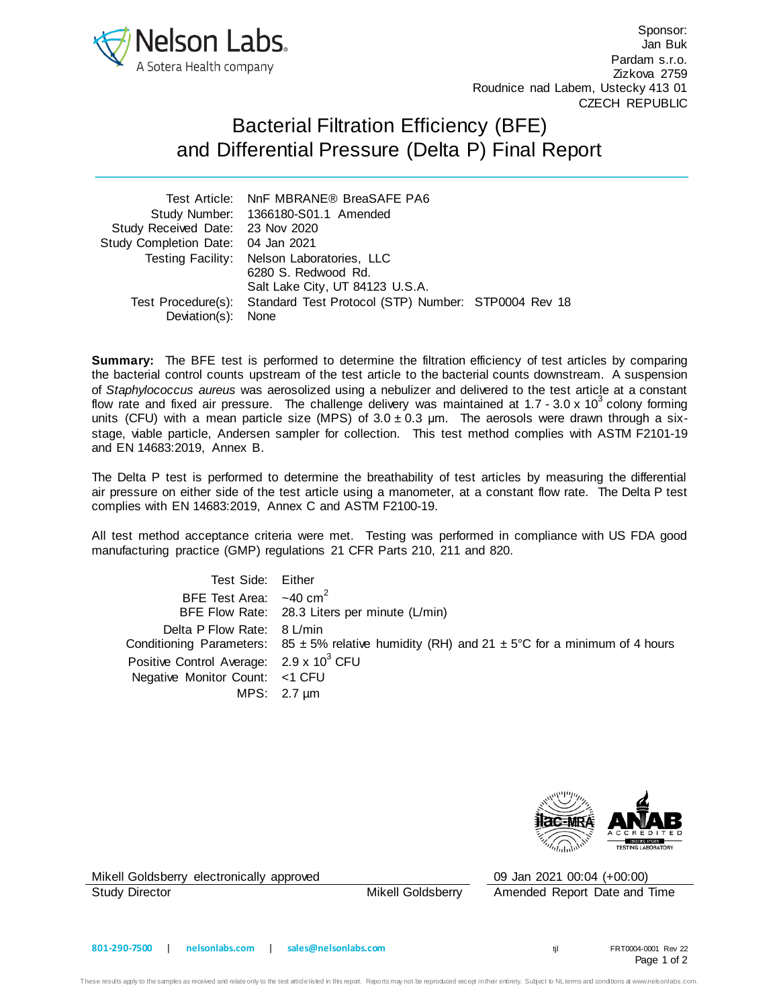

Sponsor: Jan Buk Pardam s.r.o. Zizkova 2759 Roudnice nad Labem, Ustecky 413 01 CZECH REPUBLIC

## Bacterial Filtration Efficiency (BFE) and Differential Pressure (Delta P) Final Report

|                                    | Test Article: NnF MBRANE® BreaSAFE PA6                                 |  |
|------------------------------------|------------------------------------------------------------------------|--|
|                                    | Study Number: 1366180-S01.1 Amended                                    |  |
| Study Received Date: 23 Nov 2020   |                                                                        |  |
| Study Completion Date: 04 Jan 2021 |                                                                        |  |
|                                    | Testing Facility: Nelson Laboratories, LLC                             |  |
|                                    | 6280 S. Redwood Rd.                                                    |  |
|                                    | Salt Lake City, UT 84123 U.S.A.                                        |  |
|                                    | Test Procedure(s): Standard Test Protocol (STP) Number: STP0004 Rev 18 |  |
| Deviation(s): None                 |                                                                        |  |

**Summary:** The BFE test is performed to determine the filtration efficiency of test articles by comparing the bacterial control counts upstream of the test article to the bacterial counts downstream. A suspension of *Staphylococcus aureus* was aerosolized using a nebulizer and delivered to the test article at a constant flow rate and fixed air pressure. The challenge delivery was maintained at 1.7 - 3.0 x 10<sup>3</sup> colony forming units (CFU) with a mean particle size (MPS) of  $3.0 \pm 0.3$  µm. The aerosols were drawn through a sixstage, viable particle, Andersen sampler for collection. This test method complies with ASTM F2101-19 and EN 14683:2019, Annex B.

The Delta P test is performed to determine the breathability of test articles by measuring the differential air pressure on either side of the test article using a manometer, at a constant flow rate. The Delta P test complies with EN 14683:2019, Annex C and ASTM F2100-19.

All test method acceptance criteria were met. Testing was performed in compliance with US FDA good manufacturing practice (GMP) regulations 21 CFR Parts 210, 211 and 820.

Test Side: Either BFE Test Area:  $\sim$ 40 cm<sup>2</sup> BFE Flow Rate: 28.3 Liters per minute (L/min) Delta P Flow Rate: 8 L/min Conditioning Parameters:  $85 \pm 5\%$  relative humidity (RH) and  $21 \pm 5\degree$ C for a minimum of 4 hours Positive Control Average: 2.9 x 10<sup>3</sup> CFU Negative Monitor Count: <1 CFU MPS: 2.7 µm



Mikell Goldsberry electronically approved 09 Jan 2021 00:04 (+00:00)

Study Director **Mikell Goldsberry** Amended Report Date and Time